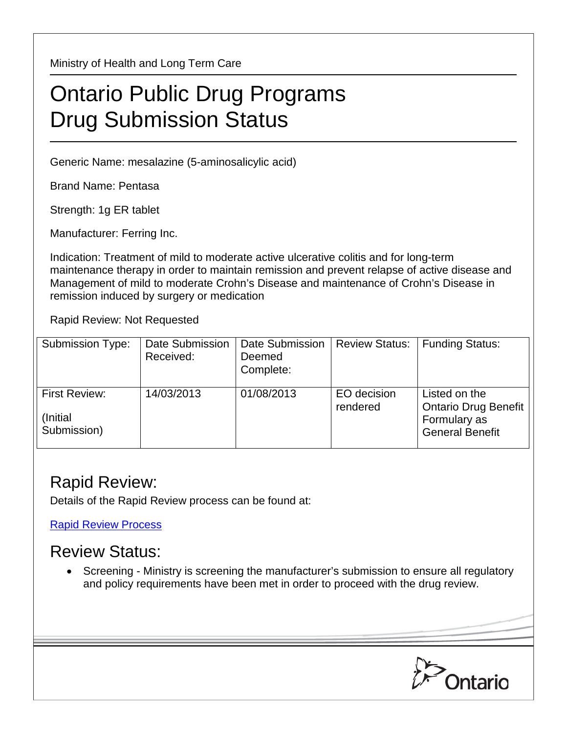Ministry of Health and Long Term Care

## Ontario Public Drug Programs Drug Submission Status

Generic Name: mesalazine (5-aminosalicylic acid)

Brand Name: Pentasa

Strength: 1g ER tablet

Manufacturer: Ferring Inc.

Indication: Treatment of mild to moderate active ulcerative colitis and for long-term maintenance therapy in order to maintain remission and prevent relapse of active disease and Management of mild to moderate Crohn's Disease and maintenance of Crohn's Disease in remission induced by surgery or medication

Rapid Review: Not Requested

| <b>Submission Type:</b>                   | Date Submission<br>Received: | Date Submission<br>Deemed<br>Complete: | <b>Review Status:</b>   | <b>Funding Status:</b>                                                          |
|-------------------------------------------|------------------------------|----------------------------------------|-------------------------|---------------------------------------------------------------------------------|
| First Review:<br>(Initial)<br>Submission) | 14/03/2013                   | 01/08/2013                             | EO decision<br>rendered | Listed on the<br>Ontario Drug Benefit<br>Formulary as<br><b>General Benefit</b> |

## Rapid Review:

Details of the Rapid Review process can be found at:

[Rapid Review Process](http://www.health.gov.on.ca/en/pro/programs/drugs/drug_submissions/rapid_review_process.aspx)

## Review Status:

• Screening - Ministry is screening the manufacturer's submission to ensure all regulatory and policy requirements have been met in order to proceed with the drug review.